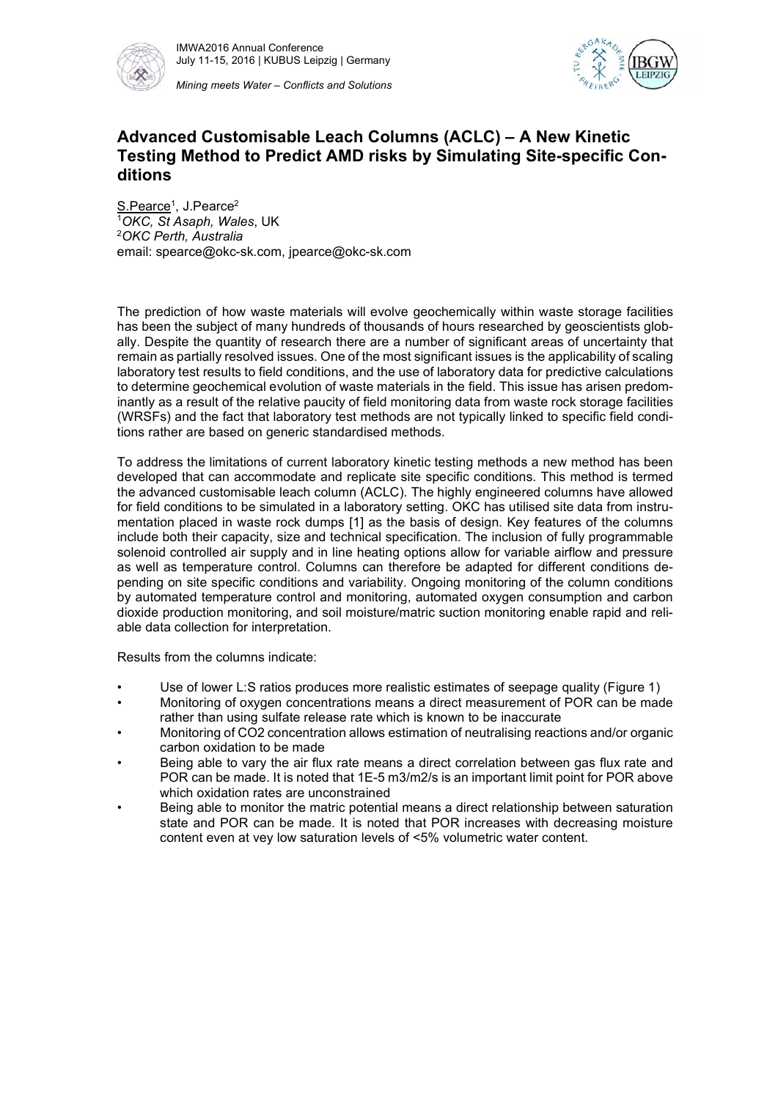



## Advanced Customisable Leach Columns (ACLC) – A New Kinetic Testing Method to Predict AMD risks by Simulating Site-specific Conditions

S.Pearce<sup>1</sup>, J.Pearce<sup>2</sup> in the set of the set of the set of the set of the set of the set of the set of the set of the set of the set of the set of the set of the set of the set of the set of the set of the set of the set 2  $1$ OKC, St Asaph, Wales, UK<br> $2$ OKC Perth, Australia email: spearce@okc-sk.com, jpearce@okc-sk.com

 The prediction of how waste materials will evolve geochemically within waste storage facilities has been the subject of many hundreds of thousands of hours researched by geoscientists glob ally. Despite the quantity of research there are a number of significant areas of uncertainty that remain as partially resolved issues. One of the most significant issues is the applicability of scaling laboratory test results to field conditions, and the use of laboratory data for predictive calculations to determine geochemical evolution of waste materials in the field. This issue has arisen predominantly as a result of the relative paucity of field monitoring data from waste rock storage facilities (WRSFs) and the fact that laboratory test methods are not typically linked to specific field condi-

tions rather are based on generic standardised methods.<br>To address the limitations of current laboratory kinetic testing methods a new method has been developed that can accommodate and replicate site specific conditions. This method is termed the advanced customisable leach column (ACLC). The highly engineered columns have allowed for field conditions to be simulated in a laboratory setting. OKC has utilised site data from instru mentation placed in waste rock dumps [1] as the basis of design. Key features of the columns include both their capacity, size and technical specification. The inclusion of fully programmable solenoid controlled air supply and in line heating options allow for variable airflow and pressure as well as temperature control. Columns can therefore be adapted for different conditions de pending on site specific conditions and variability. Ongoing monitoring of the column conditions by automated temperature control and monitoring, automated oxygen consumption and carbon dioxide production monitoring, and soil moisture/matric suction monitoring enable rapid and reliable data collection for interpretation.

- Results from the columns indicate:<br>• Use of lower L:S ratios produces more realistic estimates of seepage quality (Figure 1)
- Monitoring of oxygen concentrations means a direct measurement of POR can be made
- rather than using sulfate release rate which is known to be inaccurate Monitoring of CO2 concentration allows estimation of neutralising reactions and/or organic carbon oxidation to be made<br>Being able to vary the air flux rate means a direct correlation between gas flux rate and
- POR can be made. It is noted that 1E-5 m3/m2/s is an important limit point for POR above which oxidation rates are unconstrained<br>Being able to monitor the matric potential means a direct relationship between saturation
- state and POR can be made. It is noted that POR increases with decreasing moisture content even at vey low saturation levels of <5% volumetric water content.